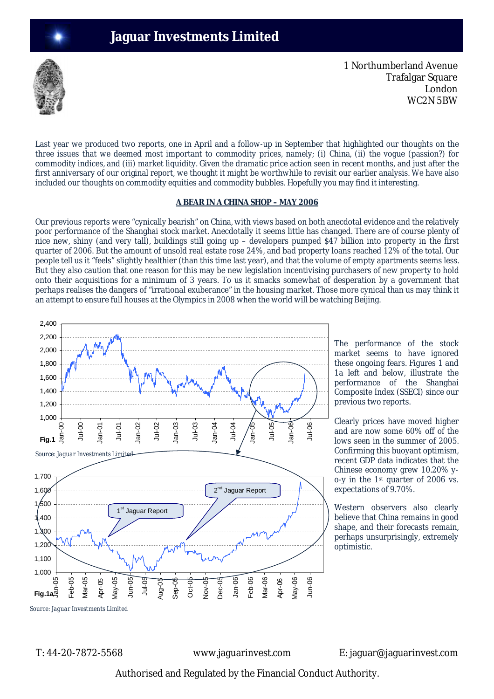# **Jaguar Investments Limited**



1 Northumberland Avenue Trafalgar Square London WC2N 5BW

Last year we produced two reports, one in April and a follow-up in September that highlighted our thoughts on the three issues that we deemed most important to commodity prices, namely; (i) China, (ii) the vogue (passion?) for commodity indices, and (iii) market liquidity. Given the dramatic price action seen in recent months, and just after the first anniversary of our original report, we thought it might be worthwhile to revisit our earlier analysis. We have also included our thoughts on commodity equities and commodity bubbles. Hopefully you may find it interesting.

#### **A BEAR IN A CHINA SHOP – MAY 2006**

Our previous reports were "cynically bearish" on China, with views based on both anecdotal evidence and the relatively poor performance of the Shanghai stock market. Anecdotally it seems little has changed. There are of course plenty of nice new, shiny (and very tall), buildings still going up – developers pumped \$47 billion into property in the first quarter of 2006. But the amount of unsold real estate rose 24%, and bad property loans reached 12% of the total. Our people tell us it "feels" slightly healthier (than this time last year), and that the volume of empty apartments seems less. But they also caution that one reason for this may be new legislation incentivising purchasers of new property to hold onto their acquisitions for a minimum of 3 years. To us it smacks somewhat of desperation by a government that perhaps realises the dangers of "irrational exuberance" in the housing market. Those more cynical than us may think it an attempt to ensure full houses at the Olympics in 2008 when the world will be watching Beijing.



The performance of the stock market seems to have ignored these ongoing fears. Figures 1 and 1a left and below, illustrate the performance of the Shanghai Composite Index (SSECI) since our previous two reports.

Clearly prices have moved higher and are now some 60% off of the lows seen in the summer of 2005. Confirming this buoyant optimism, recent GDP data indicates that the Chinese economy grew 10.20% yo-y in the 1st quarter of 2006 vs. expectations of 9.70%.

Western observers also clearly believe that China remains in good shape, and their forecasts remain, perhaps unsurprisingly, extremely optimistic.

T: 44-20-7872-5568 www.jaguarinvest.com E: jaguar@jaguarinvest.com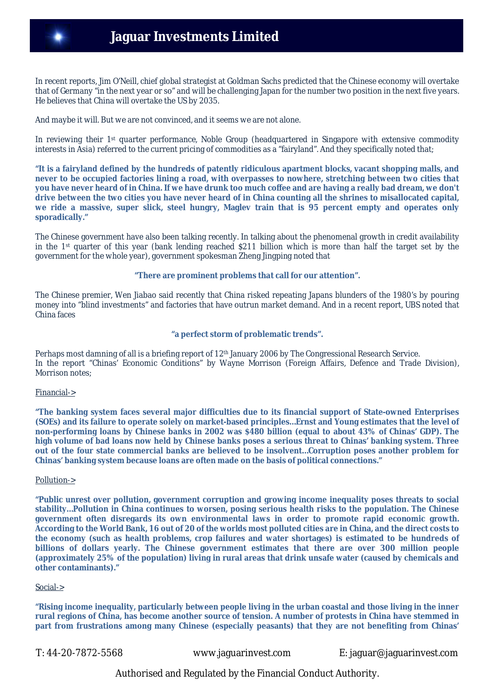In recent reports, Jim O'Neill, chief global strategist at Goldman Sachs predicted that the Chinese economy will overtake that of Germany "in the next year or so" and will be challenging Japan for the number two position in the next five years. He believes that China will overtake the US by 2035.

And maybe it will. But we are not convinced, and it seems we are not alone.

In reviewing their 1st quarter performance, Noble Group (headquartered in Singapore with extensive commodity interests in Asia) referred to the current pricing of commodities as a "fairyland". And they specifically noted that;

**"It is a fairyland defined by the hundreds of patently ridiculous apartment blocks, vacant shopping malls, and never to be occupied factories lining a road, with overpasses to nowhere, stretching between two cities that you have never heard of in China. If we have drunk too much coffee and are having a really bad dream, we don't drive between the two cities you have never heard of in China counting all the shrines to misallocated capital, we ride a massive, super slick, steel hungry, Maglev train that is 95 percent empty and operates only sporadically."**

The Chinese government have also been talking recently. In talking about the phenomenal growth in credit availability in the 1st quarter of this year (bank lending reached \$211 billion which is more than half the target set by the government for the whole year), government spokesman Zheng Jingping noted that

**"There are prominent problems that call for our attention".**

The Chinese premier, Wen Jiabao said recently that China risked repeating Japans blunders of the 1980's by pouring money into "blind investments" and factories that have outrun market demand. And in a recent report, UBS noted that China faces

### **"a perfect storm of problematic trends".**

Perhaps most damning of all is a briefing report of 12<sup>th</sup> January 2006 by The Congressional Research Service. In the report "Chinas' Economic Conditions" by Wayne Morrison (Foreign Affairs, Defence and Trade Division), Morrison notes;

# Financial->

**"The banking system faces several major difficulties due to its financial support of State-owned Enterprises (SOEs) and its failure to operate solely on market-based principles…Ernst and Young estimates that the level of non-performing loans by Chinese banks in 2002 was \$480 billion (equal to about 43% of Chinas' GDP). The high volume of bad loans now held by Chinese banks poses a serious threat to Chinas' banking system. Three out of the four state commercial banks are believed to be insolvent…Corruption poses another problem for Chinas' banking system because loans are often made on the basis of political connections."**

#### Pollution->

**"Public unrest over pollution, government corruption and growing income inequality poses threats to social stability…Pollution in China continues to worsen, posing serious health risks to the population. The Chinese government often disregards its own environmental laws in order to promote rapid economic growth. According to the World Bank, 16 out of 20 of the worlds most polluted cities are in China, and the direct costs to the economy (such as health problems, crop failures and water shortages) is estimated to be hundreds of billions of dollars yearly. The Chinese government estimates that there are over 300 million people (approximately 25% of the population) living in rural areas that drink unsafe water (caused by chemicals and other contaminants)."** 

#### Social->

**"Rising income inequality, particularly between people living in the urban coastal and those living in the inner rural regions of China, has become another source of tension. A number of protests in China have stemmed in part from frustrations among many Chinese (especially peasants) that they are not benefiting from Chinas'** 

T: 44-20-7872-5568 www.jaguarinvest.com E: jaguar@jaguarinvest.com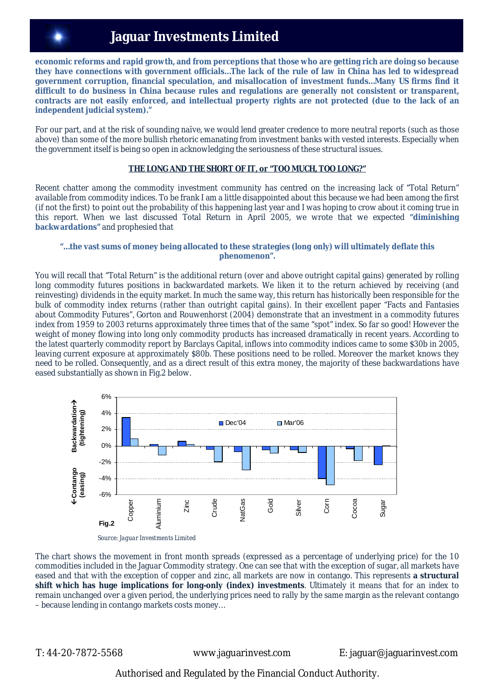# **Jaguar Investments Limited**

**economic reforms and rapid growth, and from perceptions that those who are getting rich are doing so because they have connections with government officials…The lack of the rule of law in China has led to widespread government corruption, financial speculation, and misallocation of investment funds…Many US firms find it difficult to do business in China because rules and regulations are generally not consistent or transparent, contracts are not easily enforced, and intellectual property rights are not protected (due to the lack of an independent judicial system)."**

For our part, and at the risk of sounding naïve, we would lend greater credence to more neutral reports (such as those above) than some of the more bullish rhetoric emanating from investment banks with vested interests. Especially when the government itself is being so open in acknowledging the seriousness of these structural issues.

# **THE LONG AND THE SHORT OF IT, or "TOO MUCH, TOO LONG?"**

Recent chatter among the commodity investment community has centred on the increasing lack of "Total Return" available from commodity indices. To be frank I am a little disappointed about this because we had been among the first (if not the first) to point out the probability of this happening last year and I was hoping to crow about it coming true in this report. When we last discussed Total Return in April 2005, we wrote that we expected **"diminishing backwardations"** and prophesied that

#### **"…the vast sums of money being allocated to these strategies** *(long only)* **will ultimately deflate this phenomenon".**

You will recall that "Total Return" is the additional return (over and above outright capital gains) generated by rolling long commodity futures positions in backwardated markets. We liken it to the return achieved by receiving (and reinvesting) dividends in the equity market. In much the same way, this return has historically been responsible for the bulk of commodity index returns (rather than outright capital gains). In their excellent paper "Facts and Fantasies about Commodity Futures", Gorton and Rouwenhorst (2004) demonstrate that an investment in a commodity futures index from 1959 to 2003 returns approximately three times that of the same "spot" index. So far so good! However the weight of money flowing into long only commodity products has increased dramatically in recent years. According to the latest quarterly commodity report by Barclays Capital, inflows into commodity indices came to some \$30b in 2005, leaving current exposure at approximately \$80b. These positions need to be rolled. Moreover the market knows they need to be rolled. Consequently, and as a direct result of this extra money, the majority of these backwardations have eased substantially as shown in Fig.2 below.



*Source: Jaguar Investments Limited*

The chart shows the movement in front month spreads (expressed as a percentage of underlying price) for the 10 commodities included in the Jaguar Commodity strategy. One can see that with the exception of sugar, all markets have eased and that with the exception of copper and zinc, all markets are now in contango. This represents **a structural shift which has huge implications for long-only (index) investments**. Ultimately it means that for an index to remain unchanged over a given period, the underlying prices need to rally by the same margin as the relevant contango – because lending in contango markets costs money…

T: 44-20-7872-5568 www.jaguarinvest.com E: jaguar@jaguarinvest.com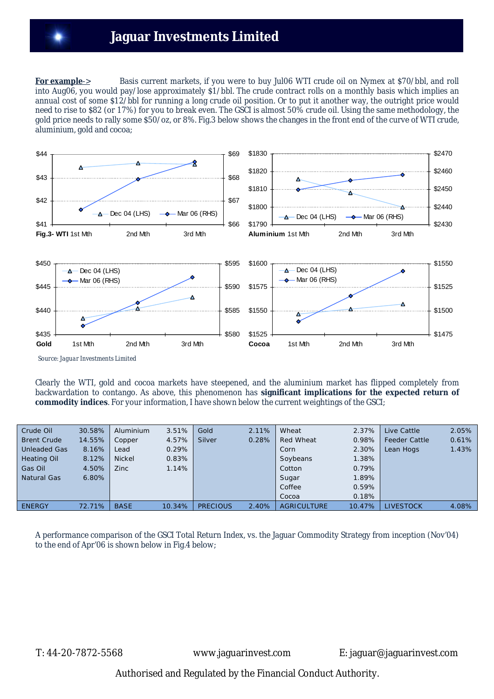**For example**-> Basis current markets, if you were to buy Jul06 WTI crude oil on Nymex at \$70/bbl, and roll into Aug06, you would pay/lose approximately \$1/bbl. The crude contract rolls on a monthly basis which implies an annual cost of some \$12/bbl for running a long crude oil position. Or to put it another way, the outright price would need to rise to \$82 (or 17%) for you to break even. The GSCI is almost 50% crude oil. Using the same methodology, the gold price needs to rally some \$50/oz, or 8%. Fig.3 below shows the changes in the front end of the curve of WTI crude, aluminium, gold and cocoa;



 *Source: Jaguar Investments Limited*

Clearly the WTI, gold and cocoa markets have steepened, and the aluminium market has flipped completely from backwardation to contango. As above, this phenomenon has **significant implications for the expected return of commodity indices**. For your information, I have shown below the current weightings of the GSCI;

| Crude Oil           | 30.58% | Aluminium     | 3.51%  | Gold            | 2.11% | Wheat              | 2.37%    | Live Cattle          | 2.05% |
|---------------------|--------|---------------|--------|-----------------|-------|--------------------|----------|----------------------|-------|
| <b>Brent Crude</b>  | 14.55% | Copper        | 4.57%  | Silver          | 0.28% | <b>Red Wheat</b>   | 0.98%    | <b>Feeder Cattle</b> | 0.61% |
| <b>Unleaded Gas</b> | 8.16%  | Lead          | 0.29%  |                 |       | Corn               | 2.30%    | Lean Hogs            | 1.43% |
| <b>Heating Oil</b>  | 8.12%  | <b>Nickel</b> | 0.83%  |                 |       | Soybeans           | $1.38\%$ |                      |       |
| Gas Oil             | 4.50%  | Zinc          | 1.14%  |                 |       | Cotton             | 0.79%    |                      |       |
| Natural Gas         | 6.80%  |               |        |                 |       | Sugar              | 1.89%    |                      |       |
|                     |        |               |        |                 |       | Coffee             | 0.59%    |                      |       |
|                     |        |               |        |                 |       | Cocoa              | 0.18%    |                      |       |
| <b>ENERGY</b>       | 72.71% | <b>BASE</b>   | 10.34% | <b>PRECIOUS</b> | 2.40% | <b>AGRICULTURE</b> | 10.47%   | LIVESTOCK            | 4.08% |

A performance comparison of the GSCI Total Return Index, vs. the Jaguar Commodity Strategy from inception (Nov'04) to the end of Apr'06 is shown below in Fig.4 below;

T: 44-20-7872-5568 www.jaguarinvest.com E: jaguar@jaguarinvest.com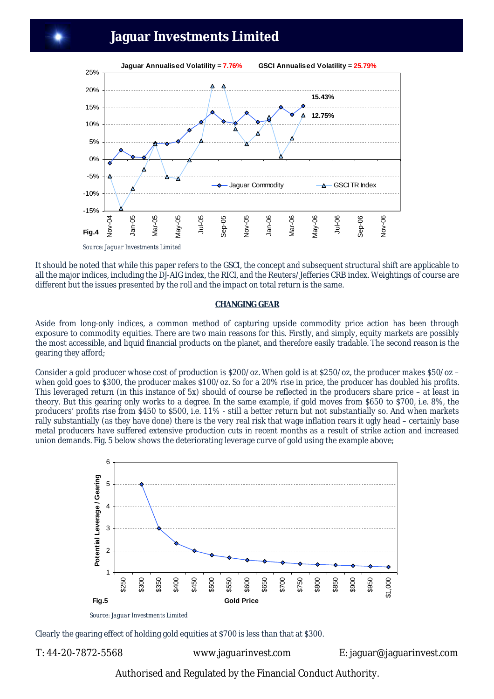# **Jaguar Investments Limited**



It should be noted that while this paper refers to the GSCI, the concept and subsequent structural shift are applicable to all the major indices, including the DJ-AIG index, the RICI, and the Reuters/Jefferies CRB index. Weightings of course are different but the issues presented by the roll and the impact on total return is the same.

#### **CHANGING GEAR**

Aside from long-only indices, a common method of capturing upside commodity price action has been through exposure to commodity equities. There are two main reasons for this. Firstly, and simply, equity markets are possibly the most accessible, and liquid financial products on the planet, and therefore easily tradable. The second reason is the gearing they afford;

Consider a gold producer whose cost of production is \$200/oz. When gold is at \$250/oz, the producer makes \$50/oz – when gold goes to \$300, the producer makes \$100/oz. So for a 20% rise in price, the producer has doubled his profits. This leveraged return (in this instance of 5x) should of course be reflected in the producers share price – at least in theory. But this gearing only works to a degree. In the same example, if gold moves from \$650 to \$700, i.e. 8%, the producers' profits rise from \$450 to \$500, i.e. 11% - still a better return but not substantially so. And when markets rally substantially (as they have done) there is the very real risk that wage inflation rears it ugly head – certainly base metal producers have suffered extensive production cuts in recent months as a result of strike action and increased union demands. Fig. 5 below shows the deteriorating leverage curve of gold using the example above;



*Source: Jaguar Investments Limited*

Clearly the gearing effect of holding gold equities at \$700 is less than that at \$300.

T: 44-20-7872-5568 www.jaguarinvest.com E: jaguar@jaguarinvest.com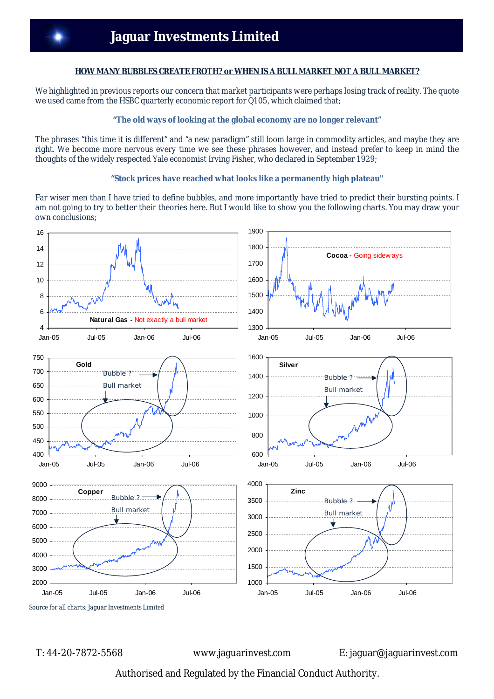#### **HOW MANY BUBBLES CREATE FROTH? or WHEN IS A BULL MARKET NOT A BULL MARKET?**

We highlighted in previous reports our concern that market participants were perhaps losing track of reality. The quote we used came from the HSBC quarterly economic report for Q105, which claimed that;

# **"The old ways of looking at the global economy are no longer relevant"**

The phrases "this time it is different" and "a new paradigm" still loom large in commodity articles, and maybe they are right. We become more nervous every time we see these phrases however, and instead prefer to keep in mind the thoughts of the widely respected Yale economist Irving Fisher, who declared in September 1929;

### **"Stock prices have reached what looks like a permanently high plateau"**

Far wiser men than I have tried to define bubbles, and more importantly have tried to predict their bursting points. I am not going to try to better their theories here. But I would like to show you the following charts. You may draw your own conclusions;



T: 44-20-7872-5568 www.jaguarinvest.com E: jaguar@jaguarinvest.com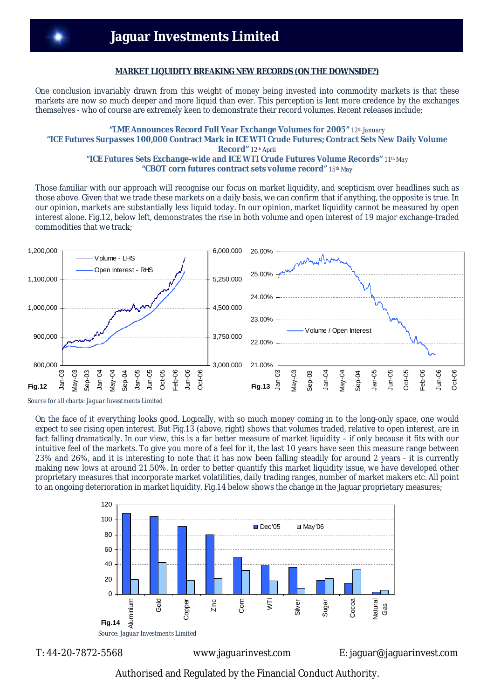#### **MARKET LIQUIDITY BREAKING NEW RECORDS (ON THE DOWNSIDE?)**

One conclusion invariably drawn from this weight of money being invested into commodity markets is that these markets are now so much deeper and more liquid than ever. This perception is lent more credence by the exchanges themselves - who of course are extremely keen to demonstrate their record volumes. Recent releases include;

#### **"LME Announces Record Full Year Exchange Volumes for 2005"** *12th January* **"ICE Futures Surpasses 100,000 Contract Mark in ICE WTI Crude Futures; Contract Sets New Daily Volume Record"** *12th April* **"ICE Futures Sets Exchange-wide and ICE WTI Crude Futures Volume Records"** *11th May* **"CBOT corn futures contract sets volume record"** *15th May*

Those familiar with our approach will recognise our focus on market liquidity, and scepticism over headlines such as those above. Given that we trade these markets on a daily basis, we can confirm that if anything, the opposite is true. In our opinion, markets are substantially less liquid today. In our opinion, market liquidity cannot be measured by open interest alone. Fig.12, below left, demonstrates the rise in both volume and open interest of 19 major exchange-traded commodities that we track;



 *Source for all charts: Jaguar Investments Limited*

On the face of it everything looks good. Logically, with so much money coming in to the long-only space, one would expect to see rising open interest. But Fig.13 (above, right) shows that volumes traded, relative to open interest, are in fact falling dramatically. In our view, this is a far better measure of market liquidity – if only because it fits with our intuitive feel of the markets. To give you more of a feel for it, the last 10 years have seen this measure range between 23% and 26%, and it is interesting to note that it has now been falling steadily for around 2 years - it is currently making new lows at around 21.50%. In order to better quantify this market liquidity issue, we have developed other proprietary measures that incorporate market volatilities, daily trading ranges, number of market makers etc. All point to an ongoing deterioration in market liquidity. Fig.14 below shows the change in the Jaguar proprietary measures;



T: 44-20-7872-5568 www.jaguarinvest.com E: jaguar@jaguarinvest.com